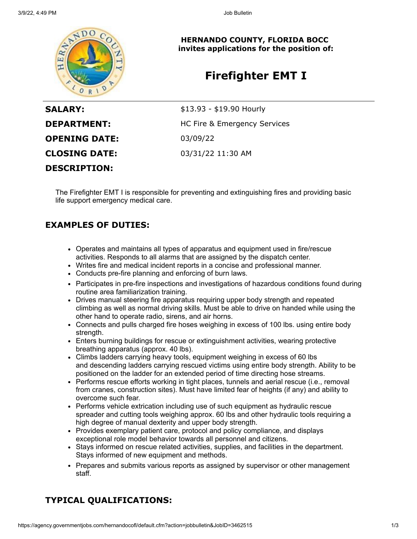

**HERNANDO COUNTY, FLORIDA BOCC invites applications for the position of:**

# **Firefighter EMT I**

| <b>SALARY:</b>       | $$13.93 - $19.90$ Hourly     |
|----------------------|------------------------------|
| <b>DEPARTMENT:</b>   | HC Fire & Emergency Services |
| <b>OPENING DATE:</b> | 03/09/22                     |
| <b>CLOSING DATE:</b> | 03/31/22 11:30 AM            |
| <b>DESCRIPTION:</b>  |                              |

The Firefighter EMT I is responsible for preventing and extinguishing fires and providing basic life support emergency medical care.

## **EXAMPLES OF DUTIES:**

- Operates and maintains all types of apparatus and equipment used in fire/rescue activities. Responds to all alarms that are assigned by the dispatch center.
- Writes fire and medical incident reports in a concise and professional manner.
- Conducts pre-fire planning and enforcing of burn laws.
- Participates in pre-fire inspections and investigations of hazardous conditions found during routine area familiarization training.
- Drives manual steering fire apparatus requiring upper body strength and repeated climbing as well as normal driving skills. Must be able to drive on handed while using the other hand to operate radio, sirens, and air horns.
- Connects and pulls charged fire hoses weighing in excess of 100 lbs. using entire body strength.
- Enters burning buildings for rescue or extinguishment activities, wearing protective breathing apparatus (approx. 40 lbs).
- Climbs ladders carrying heavy tools, equipment weighing in excess of 60 lbs and descending ladders carrying rescued victims using entire body strength. Ability to be positioned on the ladder for an extended period of time directing hose streams.
- Performs rescue efforts working in tight places, tunnels and aerial rescue (i.e., removal from cranes, construction sites). Must have limited fear of heights (if any) and ability to overcome such fear.
- Performs vehicle extrication including use of such equipment as hydraulic rescue spreader and cutting tools weighing approx. 60 lbs and other hydraulic tools requiring a high degree of manual dexterity and upper body strength.
- Provides exemplary patient care, protocol and policy compliance, and displays exceptional role model behavior towards all personnel and citizens.
- Stays informed on rescue related activities, supplies, and facilities in the department. Stays informed of new equipment and methods.
- Prepares and submits various reports as assigned by supervisor or other management staff.

## **TYPICAL QUALIFICATIONS:**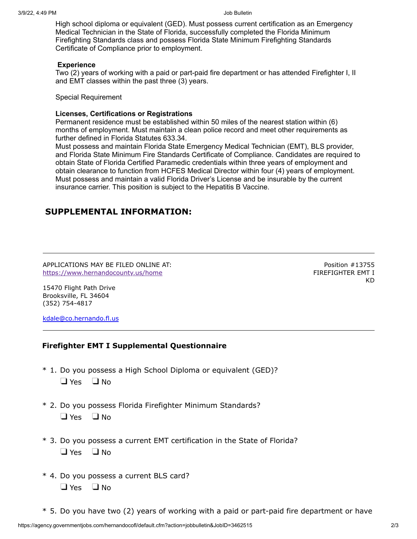High school diploma or equivalent (GED). Must possess current certification as an Emergency Medical Technician in the State of Florida, successfully completed the Florida Minimum Firefighting Standards class and possess Florida State Minimum Firefighting Standards Certificate of Compliance prior to employment.

#### **Experience**

Two (2) years of working with a paid or part-paid fire department or has attended Firefighter I, II and EMT classes within the past three (3) years.

Special Requirement

### **Licenses, Certifications or Registrations**

Permanent residence must be established within 50 miles of the nearest station within (6) months of employment. Must maintain a clean police record and meet other requirements as further defined in Florida Statutes 633.34.

Must possess and maintain Florida State Emergency Medical Technician (EMT), BLS provider, and Florida State Minimum Fire Standards Certificate of Compliance. Candidates are required to obtain State of Florida Certified Paramedic credentials within three years of employment and obtain clearance to function from HCFES Medical Director within four (4) years of employment. Must possess and maintain a valid Florida Driver's License and be insurable by the current insurance carrier. This position is subject to the Hepatitis B Vaccine.

## **SUPPLEMENTAL INFORMATION:**

APPLICATIONS MAY BE FILED ONLINE AT: <https://www.hernandocounty.us/home>

Position #13755 FIREFIGHTER EMT I KD

15470 Flight Path Drive Brooksville, FL 34604 (352) 754-4817

[kdale@co.hernando.fl.us](mailto:kdale@co.hernando.fl.us)

### **Firefighter EMT I Supplemental Questionnaire**

- \* 1. Do you possess a High School Diploma or equivalent (GED)?  $\Box$  Yes  $\Box$  No
- \* 2. Do you possess Florida Firefighter Minimum Standards?  $\Box$  Yes  $\Box$  No.
- \* 3. Do you possess a current EMT certification in the State of Florida?  $\Box$  Yes  $\Box$  No
- \* 4. Do you possess a current BLS card?  $\Box$  Yes  $\Box$  No
- \* 5. Do you have two (2) years of working with a paid or part-paid fire department or have